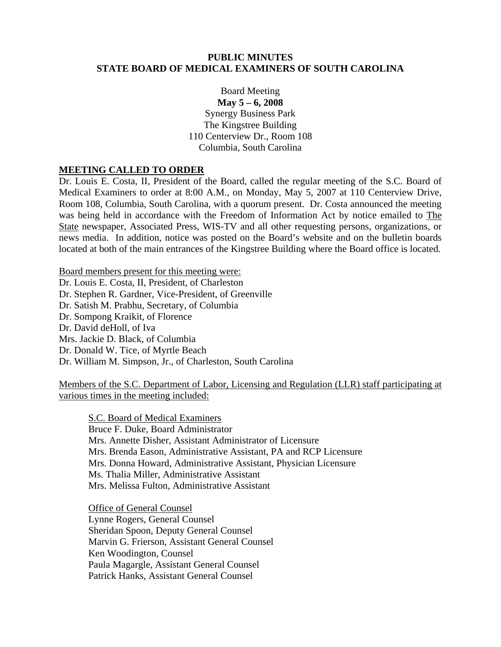### **PUBLIC MINUTES STATE BOARD OF MEDICAL EXAMINERS OF SOUTH CAROLINA**

Board Meeting **May 5 – 6, 2008**  Synergy Business Park The Kingstree Building 110 Centerview Dr., Room 108 Columbia, South Carolina

## **MEETING CALLED TO ORDER**

Dr. Louis E. Costa, II, President of the Board, called the regular meeting of the S.C. Board of Medical Examiners to order at 8:00 A.M., on Monday, May 5, 2007 at 110 Centerview Drive, Room 108, Columbia, South Carolina, with a quorum present. Dr. Costa announced the meeting was being held in accordance with the Freedom of Information Act by notice emailed to The State newspaper, Associated Press, WIS-TV and all other requesting persons, organizations, or news media. In addition, notice was posted on the Board's website and on the bulletin boards located at both of the main entrances of the Kingstree Building where the Board office is located.

Board members present for this meeting were: Dr. Louis E. Costa, II, President, of Charleston Dr. Stephen R. Gardner, Vice-President, of Greenville Dr. Satish M. Prabhu, Secretary, of Columbia Dr. Sompong Kraikit, of Florence Dr. David deHoll, of Iva Mrs. Jackie D. Black, of Columbia Dr. Donald W. Tice, of Myrtle Beach Dr. William M. Simpson, Jr., of Charleston, South Carolina

Members of the S.C. Department of Labor, Licensing and Regulation (LLR) staff participating at various times in the meeting included:

S.C. Board of Medical Examiners Bruce F. Duke, Board Administrator Mrs. Annette Disher, Assistant Administrator of Licensure Mrs. Brenda Eason, Administrative Assistant, PA and RCP Licensure Mrs. Donna Howard, Administrative Assistant, Physician Licensure Ms. Thalia Miller, Administrative Assistant Mrs. Melissa Fulton, Administrative Assistant

 Office of General Counsel Lynne Rogers, General Counsel Sheridan Spoon, Deputy General Counsel Marvin G. Frierson, Assistant General Counsel Ken Woodington, Counsel Paula Magargle, Assistant General Counsel Patrick Hanks, Assistant General Counsel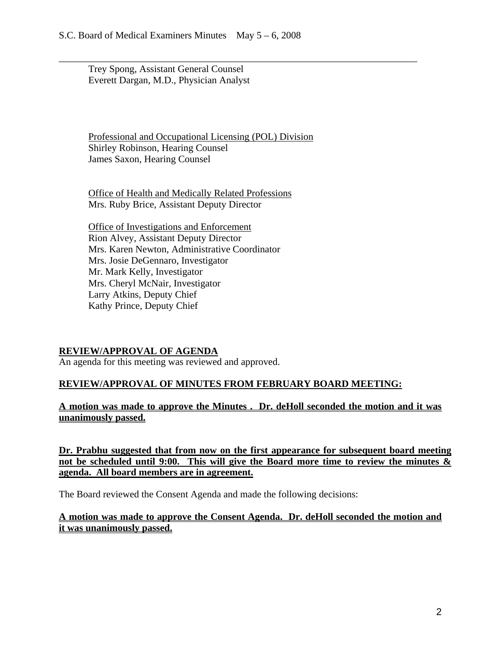Trey Spong, Assistant General Counsel Everett Dargan, M.D., Physician Analyst

Professional and Occupational Licensing (POL) Division Shirley Robinson, Hearing Counsel James Saxon, Hearing Counsel

\_\_\_\_\_\_\_\_\_\_\_\_\_\_\_\_\_\_\_\_\_\_\_\_\_\_\_\_\_\_\_\_\_\_\_\_\_\_\_\_\_\_\_\_\_\_\_\_\_\_\_\_\_\_\_\_\_\_\_\_\_\_\_\_\_\_\_\_\_\_\_\_\_

Office of Health and Medically Related Professions Mrs. Ruby Brice, Assistant Deputy Director

Office of Investigations and Enforcement Rion Alvey, Assistant Deputy Director Mrs. Karen Newton, Administrative Coordinator Mrs. Josie DeGennaro, Investigator Mr. Mark Kelly, Investigator Mrs. Cheryl McNair, Investigator Larry Atkins, Deputy Chief Kathy Prince, Deputy Chief

### **REVIEW/APPROVAL OF AGENDA**

An agenda for this meeting was reviewed and approved.

# **REVIEW/APPROVAL OF MINUTES FROM FEBRUARY BOARD MEETING:**

**A motion was made to approve the Minutes . Dr. deHoll seconded the motion and it was unanimously passed.** 

**Dr. Prabhu suggested that from now on the first appearance for subsequent board meeting not be scheduled until 9:00. This will give the Board more time to review the minutes & agenda. All board members are in agreement.** 

The Board reviewed the Consent Agenda and made the following decisions:

## **A motion was made to approve the Consent Agenda. Dr. deHoll seconded the motion and it was unanimously passed.**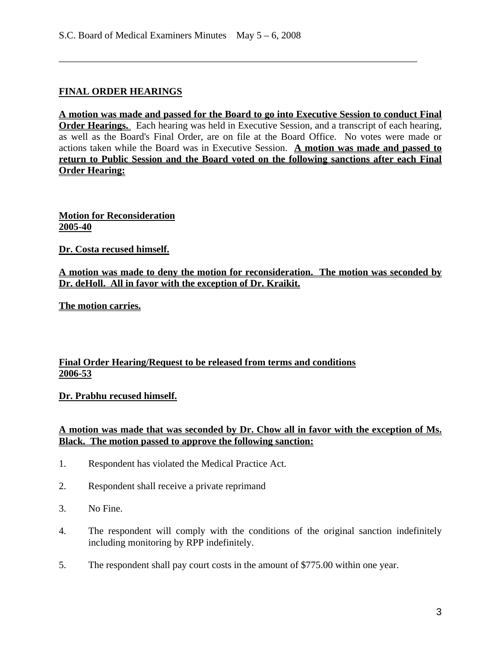# **FINAL ORDER HEARINGS**

**A motion was made and passed for the Board to go into Executive Session to conduct Final Order Hearings.** Each hearing was held in Executive Session, and a transcript of each hearing, as well as the Board's Final Order, are on file at the Board Office. No votes were made or actions taken while the Board was in Executive Session. **A motion was made and passed to return to Public Session and the Board voted on the following sanctions after each Final Order Hearing:**

\_\_\_\_\_\_\_\_\_\_\_\_\_\_\_\_\_\_\_\_\_\_\_\_\_\_\_\_\_\_\_\_\_\_\_\_\_\_\_\_\_\_\_\_\_\_\_\_\_\_\_\_\_\_\_\_\_\_\_\_\_\_\_\_\_\_\_\_\_\_\_\_\_

**Motion for Reconsideration 2005-40**

**Dr. Costa recused himself.** 

**A motion was made to deny the motion for reconsideration. The motion was seconded by Dr. deHoll. All in favor with the exception of Dr. Kraikit.**

**The motion carries.**

# **Final Order Hearing/Request to be released from terms and conditions 2006-53**

#### **Dr. Prabhu recused himself.**

### **A motion was made that was seconded by Dr. Chow all in favor with the exception of Ms. Black. The motion passed to approve the following sanction:**

- 1. Respondent has violated the Medical Practice Act.
- 2. Respondent shall receive a private reprimand
- 3. No Fine.
- 4. The respondent will comply with the conditions of the original sanction indefinitely including monitoring by RPP indefinitely.
- 5. The respondent shall pay court costs in the amount of \$775.00 within one year.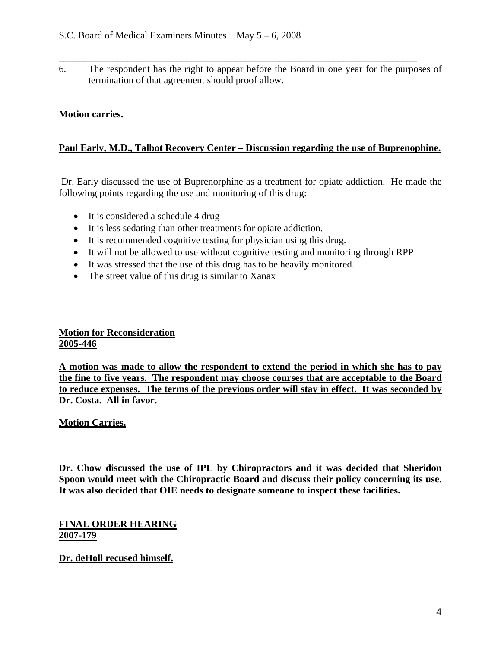6. The respondent has the right to appear before the Board in one year for the purposes of termination of that agreement should proof allow.

\_\_\_\_\_\_\_\_\_\_\_\_\_\_\_\_\_\_\_\_\_\_\_\_\_\_\_\_\_\_\_\_\_\_\_\_\_\_\_\_\_\_\_\_\_\_\_\_\_\_\_\_\_\_\_\_\_\_\_\_\_\_\_\_\_\_\_\_\_\_\_\_\_

# **Motion carries.**

# **Paul Early, M.D., Talbot Recovery Center – Discussion regarding the use of Buprenophine.**

 Dr. Early discussed the use of Buprenorphine as a treatment for opiate addiction. He made the following points regarding the use and monitoring of this drug:

- It is considered a schedule 4 drug
- It is less sedating than other treatments for opiate addiction.
- It is recommended cognitive testing for physician using this drug.
- It will not be allowed to use without cognitive testing and monitoring through RPP
- It was stressed that the use of this drug has to be heavily monitored.
- The street value of this drug is similar to Xanax

# **Motion for Reconsideration 2005-446**

**A motion was made to allow the respondent to extend the period in which she has to pay the fine to five years. The respondent may choose courses that are acceptable to the Board to reduce expenses. The terms of the previous order will stay in effect. It was seconded by Dr. Costa. All in favor.**

### **Motion Carries.**

**Dr. Chow discussed the use of IPL by Chiropractors and it was decided that Sheridon Spoon would meet with the Chiropractic Board and discuss their policy concerning its use. It was also decided that OIE needs to designate someone to inspect these facilities.** 

**FINAL ORDER HEARING 2007-179**

### **Dr. deHoll recused himself.**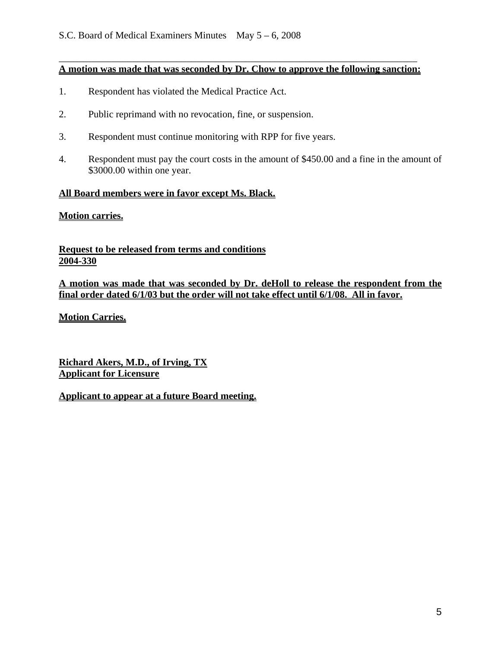### \_\_\_\_\_\_\_\_\_\_\_\_\_\_\_\_\_\_\_\_\_\_\_\_\_\_\_\_\_\_\_\_\_\_\_\_\_\_\_\_\_\_\_\_\_\_\_\_\_\_\_\_\_\_\_\_\_\_\_\_\_\_\_\_\_\_\_\_\_\_\_\_\_ **A motion was made that was seconded by Dr. Chow to approve the following sanction:**

- 1. Respondent has violated the Medical Practice Act.
- 2. Public reprimand with no revocation, fine, or suspension.
- 3. Respondent must continue monitoring with RPP for five years.
- 4. Respondent must pay the court costs in the amount of \$450.00 and a fine in the amount of \$3000.00 within one year.

### **All Board members were in favor except Ms. Black.**

# **Motion carries.**

**Request to be released from terms and conditions 2004-330**

**A motion was made that was seconded by Dr. deHoll to release the respondent from the final order dated 6/1/03 but the order will not take effect until 6/1/08. All in favor.**

**Motion Carries.**

**Richard Akers, M.D., of Irving, TX Applicant for Licensure**

## **Applicant to appear at a future Board meeting.**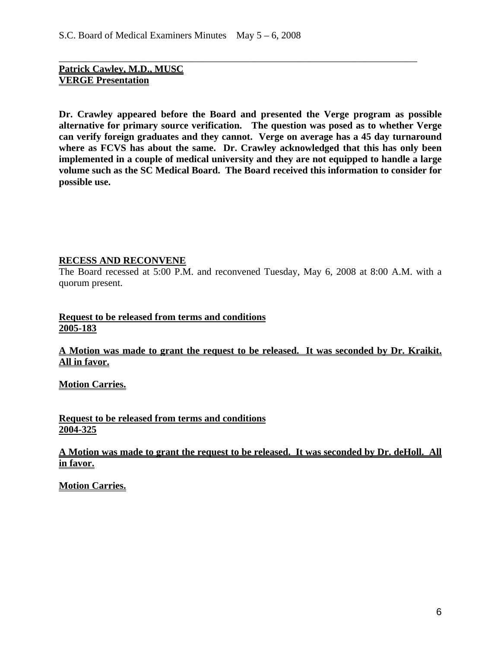**Patrick Cawley, M.D., MUSC VERGE Presentation**

**Dr. Crawley appeared before the Board and presented the Verge program as possible alternative for primary source verification. The question was posed as to whether Verge can verify foreign graduates and they cannot. Verge on average has a 45 day turnaround where as FCVS has about the same. Dr. Crawley acknowledged that this has only been implemented in a couple of medical university and they are not equipped to handle a large volume such as the SC Medical Board. The Board received this information to consider for possible use.** 

\_\_\_\_\_\_\_\_\_\_\_\_\_\_\_\_\_\_\_\_\_\_\_\_\_\_\_\_\_\_\_\_\_\_\_\_\_\_\_\_\_\_\_\_\_\_\_\_\_\_\_\_\_\_\_\_\_\_\_\_\_\_\_\_\_\_\_\_\_\_\_\_\_

### **RECESS AND RECONVENE**

The Board recessed at 5:00 P.M. and reconvened Tuesday, May 6, 2008 at 8:00 A.M. with a quorum present.

## **Request to be released from terms and conditions 2005-183**

**A Motion was made to grant the request to be released. It was seconded by Dr. Kraikit. All in favor.**

**Motion Carries.**

**Request to be released from terms and conditions 2004-325**

# **A Motion was made to grant the request to be released. It was seconded by Dr. deHoll. All in favor.**

**Motion Carries.**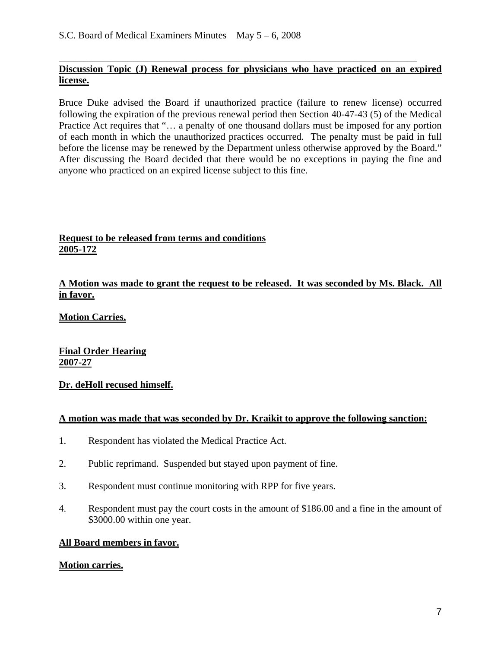## \_\_\_\_\_\_\_\_\_\_\_\_\_\_\_\_\_\_\_\_\_\_\_\_\_\_\_\_\_\_\_\_\_\_\_\_\_\_\_\_\_\_\_\_\_\_\_\_\_\_\_\_\_\_\_\_\_\_\_\_\_\_\_\_\_\_\_\_\_\_\_\_\_ **Discussion Topic (J) Renewal process for physicians who have practiced on an expired license.**

Bruce Duke advised the Board if unauthorized practice (failure to renew license) occurred following the expiration of the previous renewal period then Section 40-47-43 (5) of the Medical Practice Act requires that "... a penalty of one thousand dollars must be imposed for any portion of each month in which the unauthorized practices occurred. The penalty must be paid in full before the license may be renewed by the Department unless otherwise approved by the Board." After discussing the Board decided that there would be no exceptions in paying the fine and anyone who practiced on an expired license subject to this fine.

# **Request to be released from terms and conditions 2005-172**

## **A Motion was made to grant the request to be released. It was seconded by Ms. Black. All in favor.**

**Motion Carries.**

**Final Order Hearing 2007-27** 

# **Dr. deHoll recused himself.**

### **A motion was made that was seconded by Dr. Kraikit to approve the following sanction:**

- 1. Respondent has violated the Medical Practice Act.
- 2. Public reprimand. Suspended but stayed upon payment of fine.
- 3. Respondent must continue monitoring with RPP for five years.
- 4. Respondent must pay the court costs in the amount of \$186.00 and a fine in the amount of \$3000.00 within one year.

# **All Board members in favor.**

### **Motion carries.**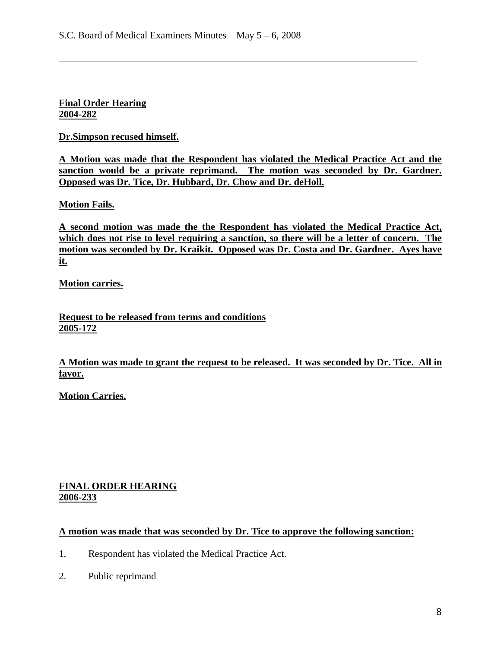# **Final Order Hearing 2004-282**

## **Dr.Simpson recused himself.**

**A Motion was made that the Respondent has violated the Medical Practice Act and the sanction would be a private reprimand. The motion was seconded by Dr. Gardner. Opposed was Dr. Tice, Dr. Hubbard, Dr. Chow and Dr. deHoll.**

\_\_\_\_\_\_\_\_\_\_\_\_\_\_\_\_\_\_\_\_\_\_\_\_\_\_\_\_\_\_\_\_\_\_\_\_\_\_\_\_\_\_\_\_\_\_\_\_\_\_\_\_\_\_\_\_\_\_\_\_\_\_\_\_\_\_\_\_\_\_\_\_\_

### **Motion Fails.**

**A second motion was made the the Respondent has violated the Medical Practice Act, which does not rise to level requiring a sanction, so there will be a letter of concern. The motion was seconded by Dr. Kraikit. Opposed was Dr. Costa and Dr. Gardner. Ayes have it.**

**Motion carries.**

**Request to be released from terms and conditions 2005-172**

**A Motion was made to grant the request to be released. It was seconded by Dr. Tice. All in favor.**

**Motion Carries.**

### **FINAL ORDER HEARING 2006-233**

### **A motion was made that was seconded by Dr. Tice to approve the following sanction:**

- 1. Respondent has violated the Medical Practice Act.
- 2. Public reprimand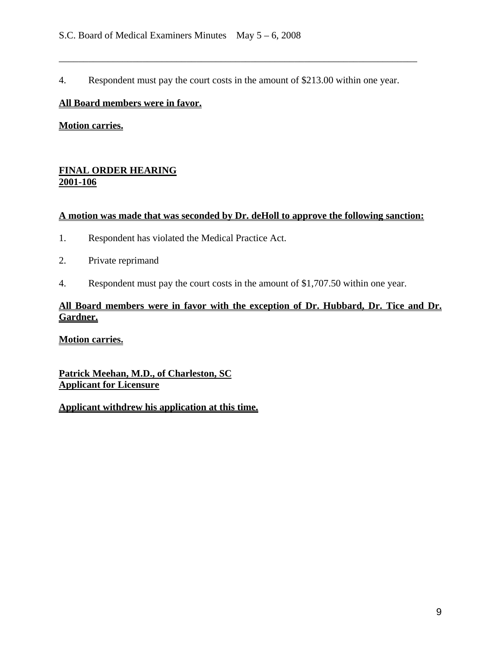4. Respondent must pay the court costs in the amount of \$213.00 within one year.

\_\_\_\_\_\_\_\_\_\_\_\_\_\_\_\_\_\_\_\_\_\_\_\_\_\_\_\_\_\_\_\_\_\_\_\_\_\_\_\_\_\_\_\_\_\_\_\_\_\_\_\_\_\_\_\_\_\_\_\_\_\_\_\_\_\_\_\_\_\_\_\_\_

# **All Board members were in favor.**

**Motion carries.**

# **FINAL ORDER HEARING 2001-106**

## **A motion was made that was seconded by Dr. deHoll to approve the following sanction:**

- 1. Respondent has violated the Medical Practice Act.
- 2. Private reprimand
- 4. Respondent must pay the court costs in the amount of \$1,707.50 within one year.

# **All Board members were in favor with the exception of Dr. Hubbard, Dr. Tice and Dr. Gardner.**

**Motion carries.**

**Patrick Meehan, M.D., of Charleston, SC Applicant for Licensure**

**Applicant withdrew his application at this time.**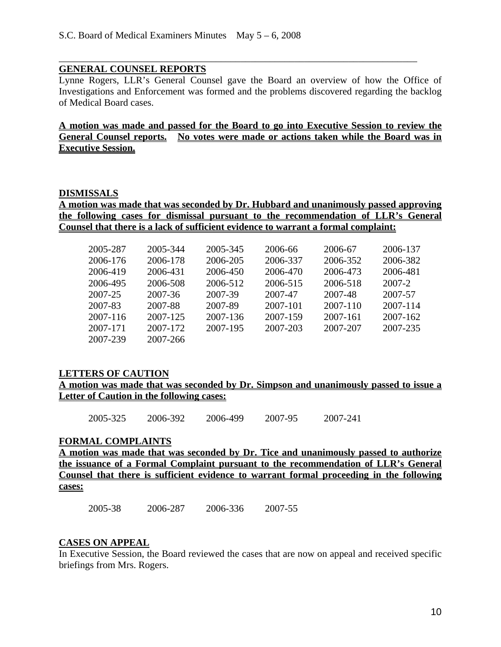### **GENERAL COUNSEL REPORTS**

Lynne Rogers, LLR's General Counsel gave the Board an overview of how the Office of Investigations and Enforcement was formed and the problems discovered regarding the backlog of Medical Board cases.

\_\_\_\_\_\_\_\_\_\_\_\_\_\_\_\_\_\_\_\_\_\_\_\_\_\_\_\_\_\_\_\_\_\_\_\_\_\_\_\_\_\_\_\_\_\_\_\_\_\_\_\_\_\_\_\_\_\_\_\_\_\_\_\_\_\_\_\_\_\_\_\_\_

**A motion was made and passed for the Board to go into Executive Session to review the General Counsel reports. No votes were made or actions taken while the Board was in Executive Session.** 

#### **DISMISSALS**

**A motion was made that was seconded by Dr. Hubbard and unanimously passed approving the following cases for dismissal pursuant to the recommendation of LLR's General Counsel that there is a lack of sufficient evidence to warrant a formal complaint:** 

| 2005-287 | 2005-344 | 2005-345 | 2006-66  | 2006-67  | 2006-137 |
|----------|----------|----------|----------|----------|----------|
| 2006-176 | 2006-178 | 2006-205 | 2006-337 | 2006-352 | 2006-382 |
| 2006-419 | 2006-431 | 2006-450 | 2006-470 | 2006-473 | 2006-481 |
| 2006-495 | 2006-508 | 2006-512 | 2006-515 | 2006-518 | 2007-2   |
| 2007-25  | 2007-36  | 2007-39  | 2007-47  | 2007-48  | 2007-57  |
| 2007-83  | 2007-88  | 2007-89  | 2007-101 | 2007-110 | 2007-114 |
| 2007-116 | 2007-125 | 2007-136 | 2007-159 | 2007-161 | 2007-162 |
| 2007-171 | 2007-172 | 2007-195 | 2007-203 | 2007-207 | 2007-235 |
| 2007-239 | 2007-266 |          |          |          |          |

### **LETTERS OF CAUTION**

**A motion was made that was seconded by Dr. Simpson and unanimously passed to issue a Letter of Caution in the following cases:** 

2005-325 2006-392 2006-499 2007-95 2007-241

### **FORMAL COMPLAINTS**

**A motion was made that was seconded by Dr. Tice and unanimously passed to authorize the issuance of a Formal Complaint pursuant to the recommendation of LLR's General Counsel that there is sufficient evidence to warrant formal proceeding in the following cases:**

2005-38 2006-287 2006-336 2007-55

### **CASES ON APPEAL**

In Executive Session, the Board reviewed the cases that are now on appeal and received specific briefings from Mrs. Rogers.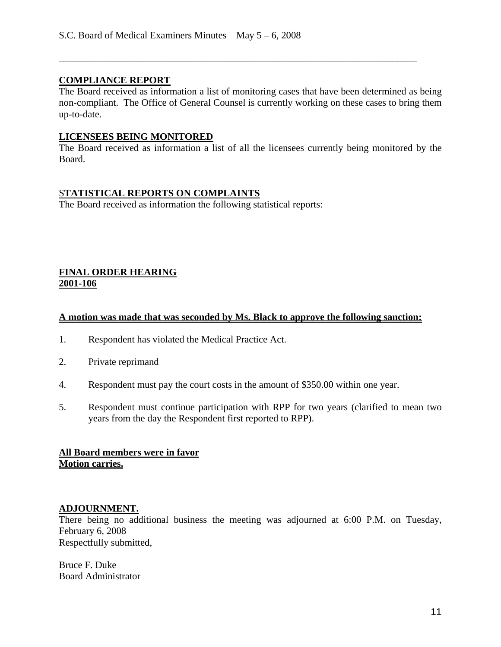# **COMPLIANCE REPORT**

The Board received as information a list of monitoring cases that have been determined as being non-compliant. The Office of General Counsel is currently working on these cases to bring them up-to-date.

\_\_\_\_\_\_\_\_\_\_\_\_\_\_\_\_\_\_\_\_\_\_\_\_\_\_\_\_\_\_\_\_\_\_\_\_\_\_\_\_\_\_\_\_\_\_\_\_\_\_\_\_\_\_\_\_\_\_\_\_\_\_\_\_\_\_\_\_\_\_\_\_\_

#### **LICENSEES BEING MONITORED**

The Board received as information a list of all the licensees currently being monitored by the Board.

### S**TATISTICAL REPORTS ON COMPLAINTS**

The Board received as information the following statistical reports:

## **FINAL ORDER HEARING 2001-106**

#### **A motion was made that was seconded by Ms. Black to approve the following sanction:**

- 1. Respondent has violated the Medical Practice Act.
- 2. Private reprimand
- 4. Respondent must pay the court costs in the amount of \$350.00 within one year.
- 5. Respondent must continue participation with RPP for two years (clarified to mean two years from the day the Respondent first reported to RPP).

## **All Board members were in favor Motion carries.**

#### **ADJOURNMENT.**

There being no additional business the meeting was adjourned at 6:00 P.M. on Tuesday, February 6, 2008 Respectfully submitted,

Bruce F. Duke Board Administrator